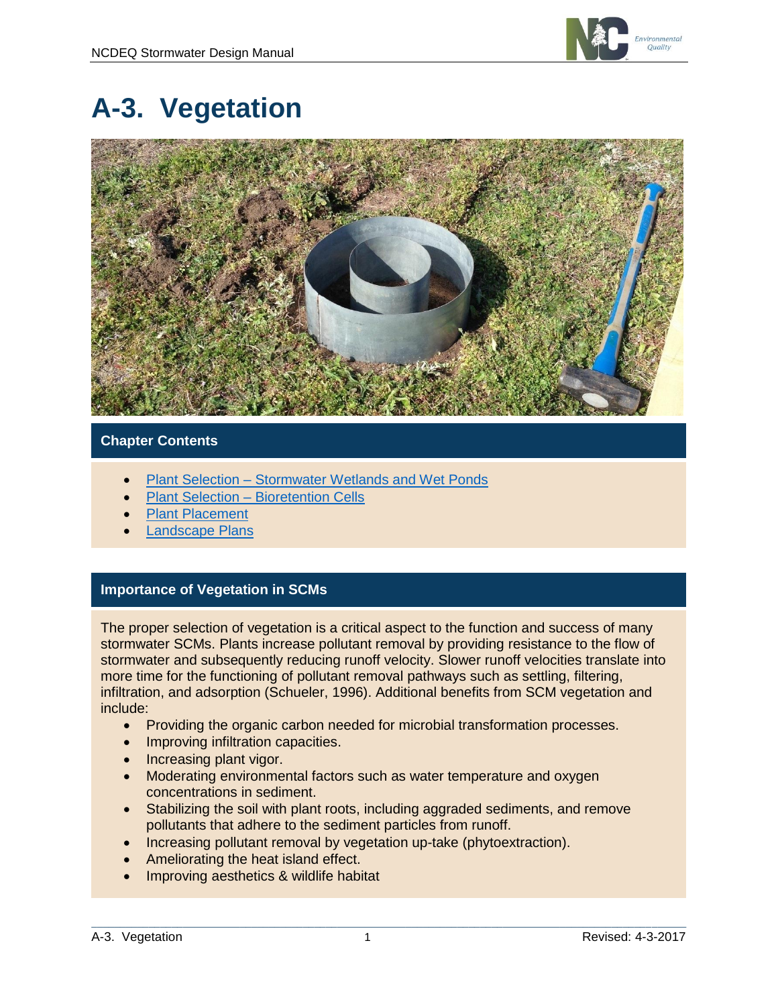

# **A-3. Vegetation**



### **Chapter Contents**

- Plant Selection [Stormwater Wetlands and Wet Ponds](#page-1-0)
- Plant Selection [Bioretention Cells](#page-1-1)
- [Plant Placement](#page-2-0)
- [Landscape Plans](#page-2-1)

### **Importance of Vegetation in SCMs**

The proper selection of vegetation is a critical aspect to the function and success of many stormwater SCMs. Plants increase pollutant removal by providing resistance to the flow of stormwater and subsequently reducing runoff velocity. Slower runoff velocities translate into more time for the functioning of pollutant removal pathways such as settling, filtering, infiltration, and adsorption (Schueler, 1996). Additional benefits from SCM vegetation and include:

- Providing the organic carbon needed for microbial transformation processes.
- Improving infiltration capacities.
- Increasing plant vigor.
- Moderating environmental factors such as water temperature and oxygen concentrations in sediment.
- Stabilizing the soil with plant roots, including aggraded sediments, and remove pollutants that adhere to the sediment particles from runoff.
- Increasing pollutant removal by vegetation up-take (phytoextraction).
- Ameliorating the heat island effect.
- Improving aesthetics & wildlife habitat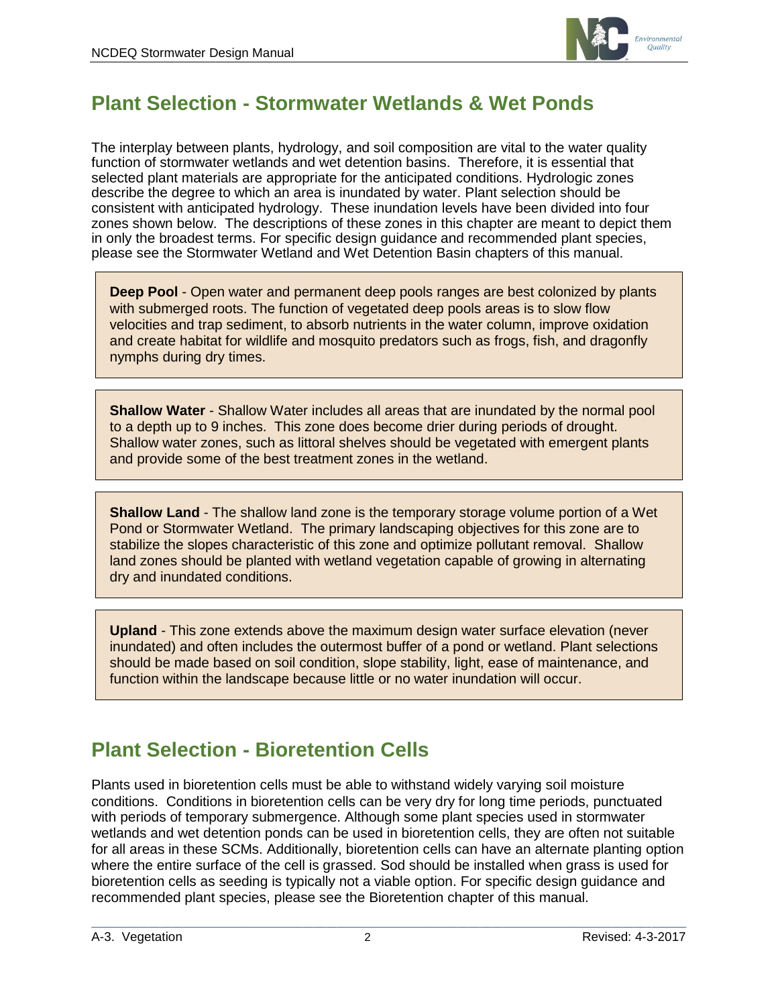

# <span id="page-1-0"></span>**Plant Selection - Stormwater Wetlands & Wet Ponds**

The interplay between plants, hydrology, and soil composition are vital to the water quality function of stormwater wetlands and wet detention basins. Therefore, it is essential that selected plant materials are appropriate for the anticipated conditions. Hydrologic zones describe the degree to which an area is inundated by water. Plant selection should be consistent with anticipated hydrology. These inundation levels have been divided into four zones shown below. The descriptions of these zones in this chapter are meant to depict them in only the broadest terms. For specific design guidance and recommended plant species, please see the Stormwater Wetland and Wet Detention Basin chapters of this manual.

**Deep Pool** - Open water and permanent deep pools ranges are best colonized by plants with submerged roots. The function of vegetated deep pools areas is to slow flow velocities and trap sediment, to absorb nutrients in the water column, improve oxidation and create habitat for wildlife and mosquito predators such as frogs, fish, and dragonfly nymphs during dry times.

**Shallow Water** - Shallow Water includes all areas that are inundated by the normal pool to a depth up to 9 inches. This zone does become drier during periods of drought. Shallow water zones, such as littoral shelves should be vegetated with emergent plants and provide some of the best treatment zones in the wetland.

**Shallow Land** - The shallow land zone is the temporary storage volume portion of a Wet Pond or Stormwater Wetland. The primary landscaping objectives for this zone are to stabilize the slopes characteristic of this zone and optimize pollutant removal. Shallow land zones should be planted with wetland vegetation capable of growing in alternating dry and inundated conditions.

**Upland** - This zone extends above the maximum design water surface elevation (never inundated) and often includes the outermost buffer of a pond or wetland. Plant selections should be made based on soil condition, slope stability, light, ease of maintenance, and function within the landscape because little or no water inundation will occur.

# <span id="page-1-1"></span>**Plant Selection - Bioretention Cells**

Plants used in bioretention cells must be able to withstand widely varying soil moisture conditions. Conditions in bioretention cells can be very dry for long time periods, punctuated with periods of temporary submergence. Although some plant species used in stormwater wetlands and wet detention ponds can be used in bioretention cells, they are often not suitable for all areas in these SCMs. Additionally, bioretention cells can have an alternate planting option where the entire surface of the cell is grassed. Sod should be installed when grass is used for bioretention cells as seeding is typically not a viable option. For specific design guidance and recommended plant species, please see the Bioretention chapter of this manual.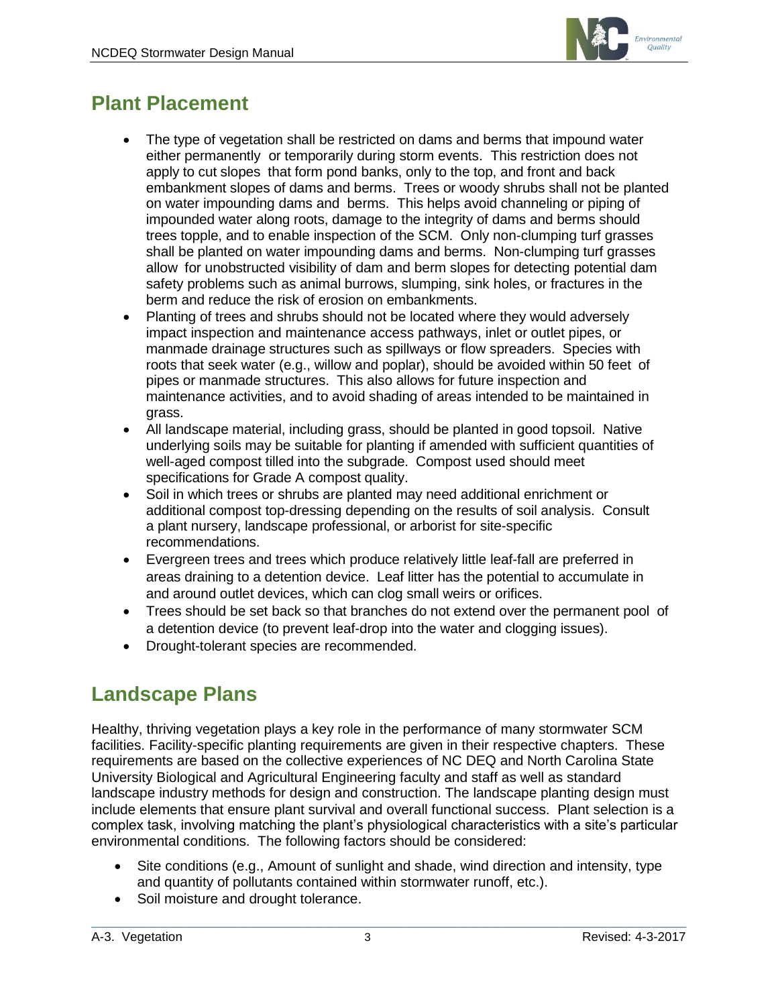

# <span id="page-2-0"></span>**Plant Placement**

- The type of vegetation shall be restricted on dams and berms that impound water either permanently or temporarily during storm events. This restriction does not apply to cut slopes that form pond banks, only to the top, and front and back embankment slopes of dams and berms. Trees or woody shrubs shall not be planted on water impounding dams and berms. This helps avoid channeling or piping of impounded water along roots, damage to the integrity of dams and berms should trees topple, and to enable inspection of the SCM. Only non-clumping turf grasses shall be planted on water impounding dams and berms. Non-clumping turf grasses allow for unobstructed visibility of dam and berm slopes for detecting potential dam safety problems such as animal burrows, slumping, sink holes, or fractures in the berm and reduce the risk of erosion on embankments.
- Planting of trees and shrubs should not be located where they would adversely impact inspection and maintenance access pathways, inlet or outlet pipes, or manmade drainage structures such as spillways or flow spreaders. Species with roots that seek water (e.g., willow and poplar), should be avoided within 50 feet of pipes or manmade structures. This also allows for future inspection and maintenance activities, and to avoid shading of areas intended to be maintained in grass.
- All landscape material, including grass, should be planted in good topsoil. Native underlying soils may be suitable for planting if amended with sufficient quantities of well-aged compost tilled into the subgrade. Compost used should meet specifications for Grade A compost quality.
- Soil in which trees or shrubs are planted may need additional enrichment or additional compost top-dressing depending on the results of soil analysis. Consult a plant nursery, landscape professional, or arborist for site-specific recommendations.
- Evergreen trees and trees which produce relatively little leaf-fall are preferred in areas draining to a detention device. Leaf litter has the potential to accumulate in and around outlet devices, which can clog small weirs or orifices.
- Trees should be set back so that branches do not extend over the permanent pool of a detention device (to prevent leaf-drop into the water and clogging issues).
- Drought-tolerant species are recommended.

### <span id="page-2-1"></span>**Landscape Plans**

Healthy, thriving vegetation plays a key role in the performance of many stormwater SCM facilities. Facility-specific planting requirements are given in their respective chapters. These requirements are based on the collective experiences of NC DEQ and North Carolina State University Biological and Agricultural Engineering faculty and staff as well as standard landscape industry methods for design and construction. The landscape planting design must include elements that ensure plant survival and overall functional success. Plant selection is a complex task, involving matching the plant's physiological characteristics with a site's particular environmental conditions. The following factors should be considered:

- Site conditions (e.g., Amount of sunlight and shade, wind direction and intensity, type and quantity of pollutants contained within stormwater runoff, etc.).
- Soil moisture and drought tolerance.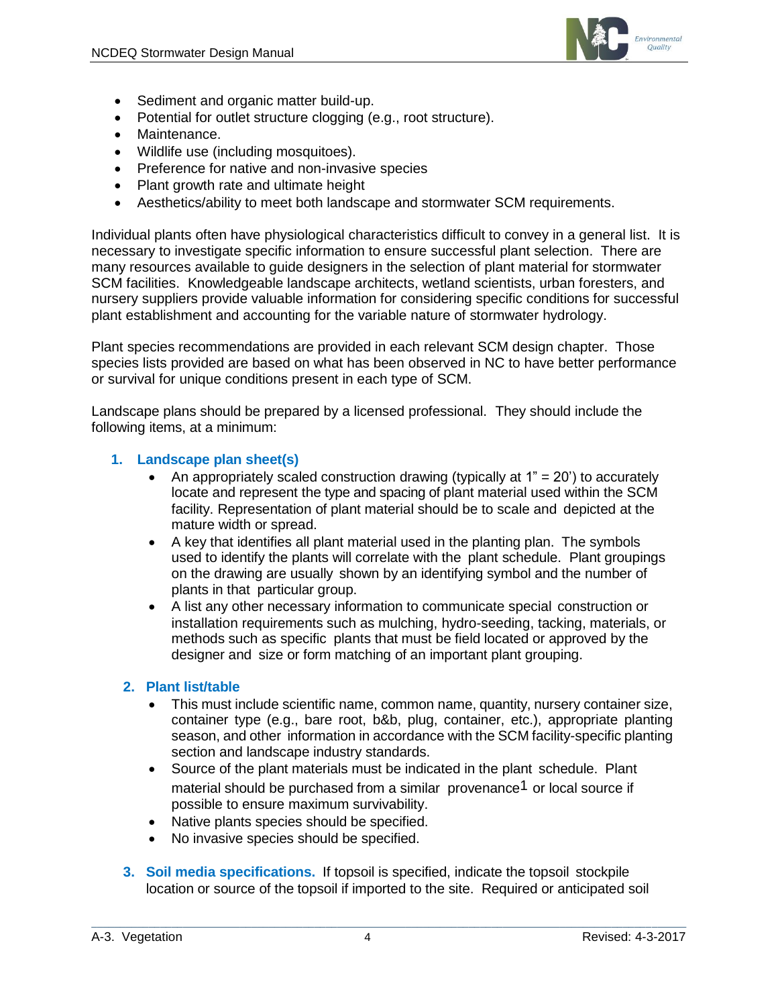

- Sediment and organic matter build-up.
- Potential for outlet structure clogging (e.g., root structure).
- Maintenance.
- Wildlife use (including mosquitoes).
- Preference for native and non-invasive species
- Plant growth rate and ultimate height
- Aesthetics/ability to meet both landscape and stormwater SCM requirements.

Individual plants often have physiological characteristics difficult to convey in a general list. It is necessary to investigate specific information to ensure successful plant selection. There are many resources available to guide designers in the selection of plant material for stormwater SCM facilities. Knowledgeable landscape architects, wetland scientists, urban foresters, and nursery suppliers provide valuable information for considering specific conditions for successful plant establishment and accounting for the variable nature of stormwater hydrology.

Plant species recommendations are provided in each relevant SCM design chapter. Those species lists provided are based on what has been observed in NC to have better performance or survival for unique conditions present in each type of SCM.

Landscape plans should be prepared by a licensed professional. They should include the following items, at a minimum:

#### **1. Landscape plan sheet(s)**

- An appropriately scaled construction drawing (typically at  $1" = 20'$ ) to accurately locate and represent the type and spacing of plant material used within the SCM facility. Representation of plant material should be to scale and depicted at the mature width or spread.
- A key that identifies all plant material used in the planting plan. The symbols used to identify the plants will correlate with the plant schedule. Plant groupings on the drawing are usually shown by an identifying symbol and the number of plants in that particular group.
- A list any other necessary information to communicate special construction or installation requirements such as mulching, hydro-seeding, tacking, materials, or methods such as specific plants that must be field located or approved by the designer and size or form matching of an important plant grouping.

### **2. Plant list/table**

- This must include scientific name, common name, quantity, nursery container size, container type (e.g., bare root, b&b, plug, container, etc.), appropriate planting season, and other information in accordance with the SCM facility-specific planting section and landscape industry standards.
- Source of the plant materials must be indicated in the plant schedule. Plant material should be purchased from a similar provenance<sup>1</sup> or local source if possible to ensure maximum survivability.
- Native plants species should be specified.
- No invasive species should be specified.
- **3. Soil media specifications.** If topsoil is specified, indicate the topsoil stockpile location or source of the topsoil if imported to the site. Required or anticipated soil